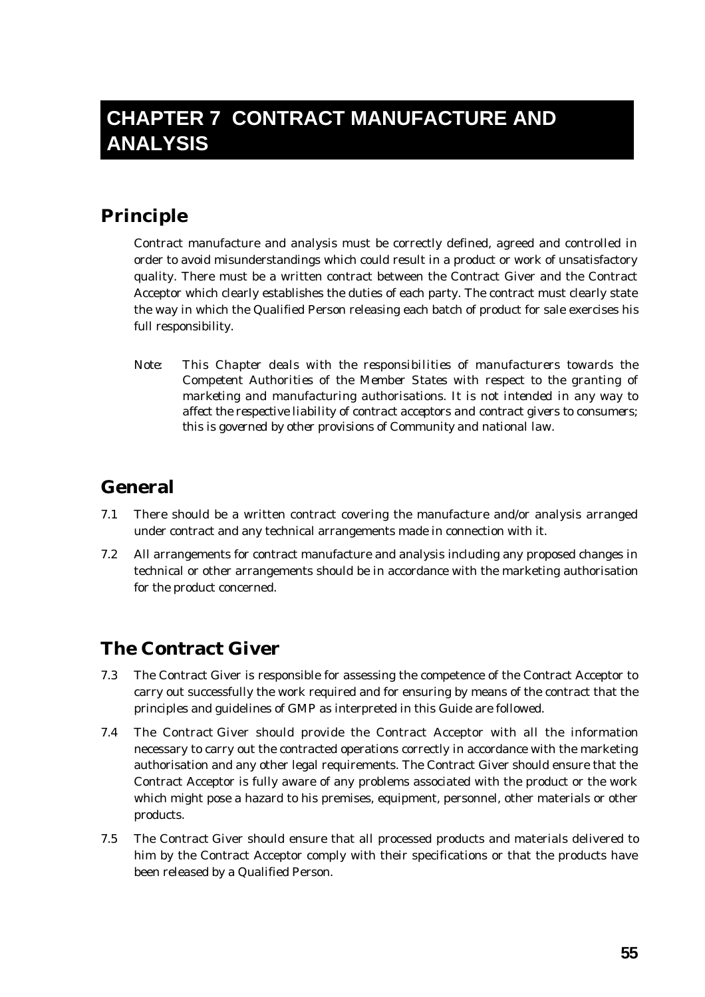# **CHAPTER 7 CONTRACT MANUFACTURE AND ANALYSIS**

### **Principle**

Contract manufacture and analysis must be correctly defined, agreed and controlled in order to avoid misunderstandings which could result in a product or work of unsatisfactory quality. There must be a written contract between the Contract Giver and the Contract Acceptor which clearly establishes the duties of each party. The contract must clearly state the way in which the Qualified Person releasing each batch of product for sale exercises his full responsibility.

*Note: This Chapter deals with the responsibilities of manufacturers towards the Competent Authorities of the Member States with respect to the granting of marketing and manufacturing authorisations. It is not intended in any way to affect the respective liability of contract acceptors and contract givers to consumers; this is governed by other provisions of Community and national law.*

#### **General**

- 7.1 There should be a written contract covering the manufacture and/or analysis arranged under contract and any technical arrangements made in connection with it.
- 7.2 All arrangements for contract manufacture and analysis including any proposed changes in technical or other arrangements should be in accordance with the marketing authorisation for the product concerned.

# **The Contract Giver**

- 7.3 The Contract Giver is responsible for assessing the competence of the Contract Acceptor to carry out successfully the work required and for ensuring by means of the contract that the principles and guidelines of GMP as interpreted in this Guide are followed.
- 7.4 The Contract Giver should provide the Contract Acceptor with all the information necessary to carry out the contracted operations correctly in accordance with the marketing authorisation and any other legal requirements. The Contract Giver should ensure that the Contract Acceptor is fully aware of any problems associated with the product or the work which might pose a hazard to his premises, equipment, personnel, other materials or other products.
- 7.5 The Contract Giver should ensure that all processed products and materials delivered to him by the Contract Acceptor comply with their specifications or that the products have been released by a Qualified Person.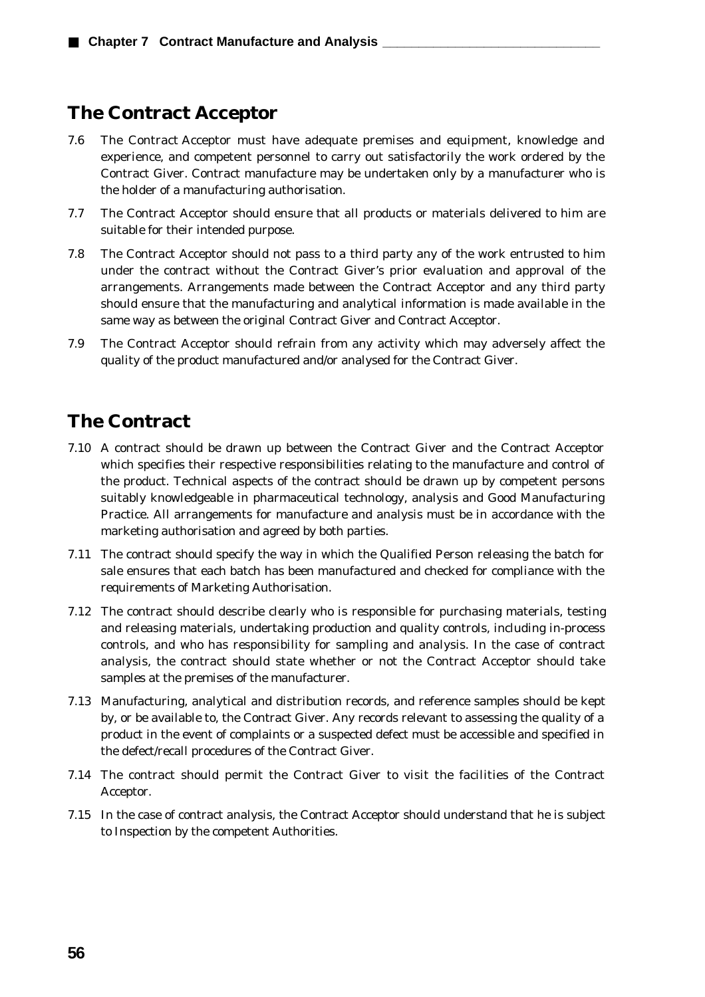#### **The Contract Acceptor**

- 7.6 The Contract Acceptor must have adequate premises and equipment, knowledge and experience, and competent personnel to carry out satisfactorily the work ordered by the Contract Giver. Contract manufacture may be undertaken only by a manufacturer who is the holder of a manufacturing authorisation.
- 7.7 The Contract Acceptor should ensure that all products or materials delivered to him are suitable for their intended purpose.
- 7.8 The Contract Acceptor should not pass to a third party any of the work entrusted to him under the contract without the Contract Giver's prior evaluation and approval of the arrangements. Arrangements made between the Contract Acceptor and any third party should ensure that the manufacturing and analytical information is made available in the same way as between the original Contract Giver and Contract Acceptor.
- 7.9 The Contract Acceptor should refrain from any activity which may adversely affect the quality of the product manufactured and/or analysed for the Contract Giver.

#### **The Contract**

- 7.10 A contract should be drawn up between the Contract Giver and the Contract Acceptor which specifies their respective responsibilities relating to the manufacture and control of the product. Technical aspects of the contract should be drawn up by competent persons suitably knowledgeable in pharmaceutical technology, analysis and Good Manufacturing Practice. All arrangements for manufacture and analysis must be in accordance with the marketing authorisation and agreed by both parties.
- 7.11 The contract should specify the way in which the Qualified Person releasing the batch for sale ensures that each batch has been manufactured and checked for compliance with the requirements of Marketing Authorisation.
- 7.12 The contract should describe clearly who is responsible for purchasing materials, testing and releasing materials, undertaking production and quality controls, including in-process controls, and who has responsibility for sampling and analysis. In the case of contract analysis, the contract should state whether or not the Contract Acceptor should take samples at the premises of the manufacturer.
- 7.13 Manufacturing, analytical and distribution records, and reference samples should be kept by, or be available to, the Contract Giver. Any records relevant to assessing the quality of a product in the event of complaints or a suspected defect must be accessible and specified in the defect/recall procedures of the Contract Giver.
- 7.14 The contract should permit the Contract Giver to visit the facilities of the Contract Acceptor.
- 7.15 In the case of contract analysis, the Contract Acceptor should understand that he is subject to Inspection by the competent Authorities.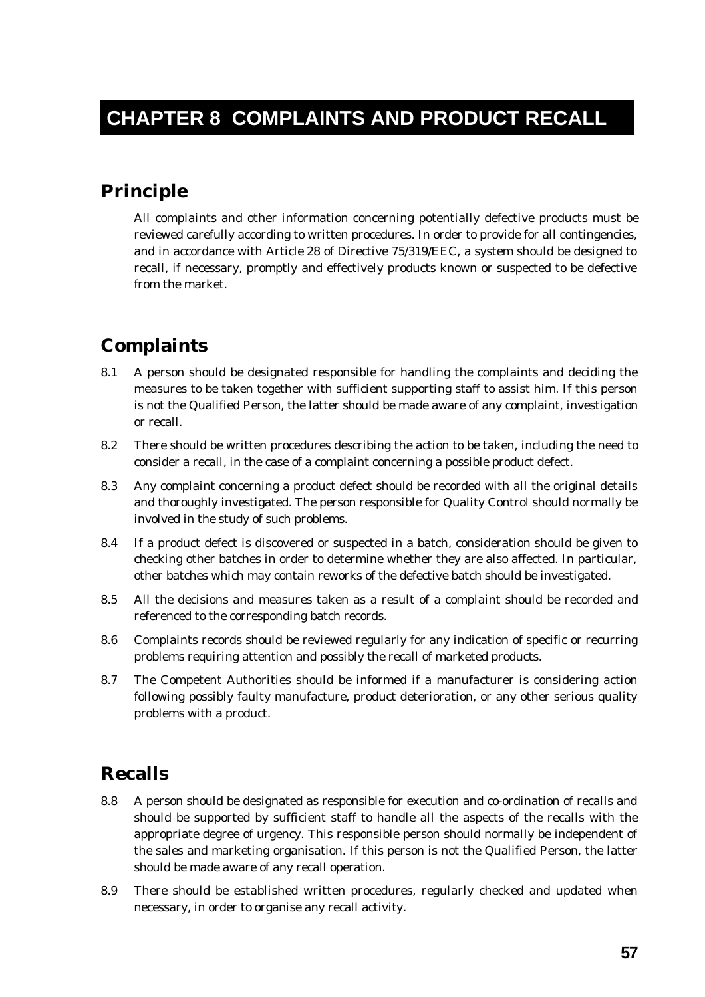# **Principle**

All complaints and other information concerning potentially defective products must be reviewed carefully according to written procedures. In order to provide for all contingencies, and in accordance with Article 28 of Directive 75/319/EEC, a system should be designed to recall, if necessary, promptly and effectively products known or suspected to be defective from the market.

# **Complaints**

- 8.1 A person should be designated responsible for handling the complaints and deciding the measures to be taken together with sufficient supporting staff to assist him. If this person is not the Qualified Person, the latter should be made aware of any complaint, investigation or recall.
- 8.2 There should be written procedures describing the action to be taken, including the need to consider a recall, in the case of a complaint concerning a possible product defect.
- 8.3 Any complaint concerning a product defect should be recorded with all the original details and thoroughly investigated. The person responsible for Quality Control should normally be involved in the study of such problems.
- 8.4 If a product defect is discovered or suspected in a batch, consideration should be given to checking other batches in order to determine whether they are also affected. In particular, other batches which may contain reworks of the defective batch should be investigated.
- 8.5 All the decisions and measures taken as a result of a complaint should be recorded and referenced to the corresponding batch records.
- 8.6 Complaints records should be reviewed regularly for any indication of specific or recurring problems requiring attention and possibly the recall of marketed products.
- 8.7 The Competent Authorities should be informed if a manufacturer is considering action following possibly faulty manufacture, product deterioration, or any other serious quality problems with a product.

# **Recalls**

- 8.8 A person should be designated as responsible for execution and co-ordination of recalls and should be supported by sufficient staff to handle all the aspects of the recalls with the appropriate degree of urgency. This responsible person should normally be independent of the sales and marketing organisation. If this person is not the Qualified Person, the latter should be made aware of any recall operation.
- 8.9 There should be established written procedures, regularly checked and updated when necessary, in order to organise any recall activity.